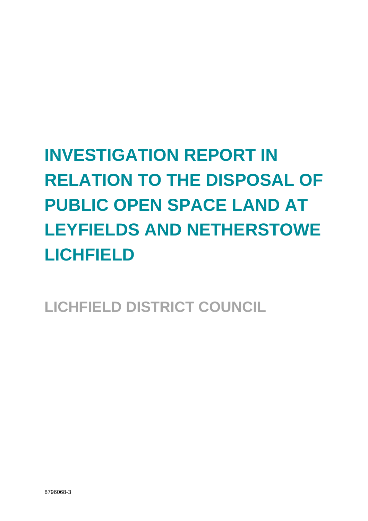# **INVESTIGATION REPORT IN RELATION TO THE DISPOSAL OF PUBLIC OPEN SPACE LAND AT LEYFIELDS AND NETHERSTOWE LICHFIELD**

**LICHFIELD DISTRICT COUNCIL**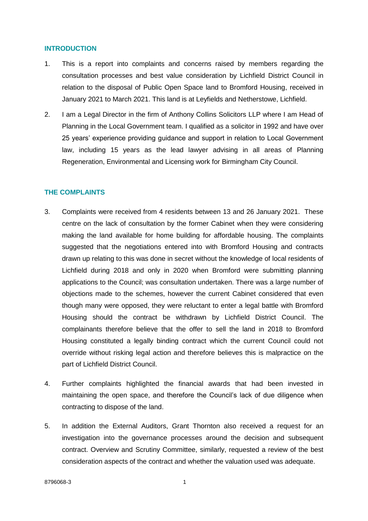#### **INTRODUCTION**

- 1. This is a report into complaints and concerns raised by members regarding the consultation processes and best value consideration by Lichfield District Council in relation to the disposal of Public Open Space land to Bromford Housing, received in January 2021 to March 2021. This land is at Leyfields and Netherstowe, Lichfield.
- 2. I am a Legal Director in the firm of Anthony Collins Solicitors LLP where I am Head of Planning in the Local Government team. I qualified as a solicitor in 1992 and have over 25 years' experience providing guidance and support in relation to Local Government law, including 15 years as the lead lawyer advising in all areas of Planning Regeneration, Environmental and Licensing work for Birmingham City Council.

## **THE COMPLAINTS**

- 3. Complaints were received from 4 residents between 13 and 26 January 2021. These centre on the lack of consultation by the former Cabinet when they were considering making the land available for home building for affordable housing. The complaints suggested that the negotiations entered into with Bromford Housing and contracts drawn up relating to this was done in secret without the knowledge of local residents of Lichfield during 2018 and only in 2020 when Bromford were submitting planning applications to the Council; was consultation undertaken. There was a large number of objections made to the schemes, however the current Cabinet considered that even though many were opposed, they were reluctant to enter a legal battle with Bromford Housing should the contract be withdrawn by Lichfield District Council. The complainants therefore believe that the offer to sell the land in 2018 to Bromford Housing constituted a legally binding contract which the current Council could not override without risking legal action and therefore believes this is malpractice on the part of Lichfield District Council.
- 4. Further complaints highlighted the financial awards that had been invested in maintaining the open space, and therefore the Council's lack of due diligence when contracting to dispose of the land.
- 5. In addition the External Auditors, Grant Thornton also received a request for an investigation into the governance processes around the decision and subsequent contract. Overview and Scrutiny Committee, similarly, requested a review of the best consideration aspects of the contract and whether the valuation used was adequate.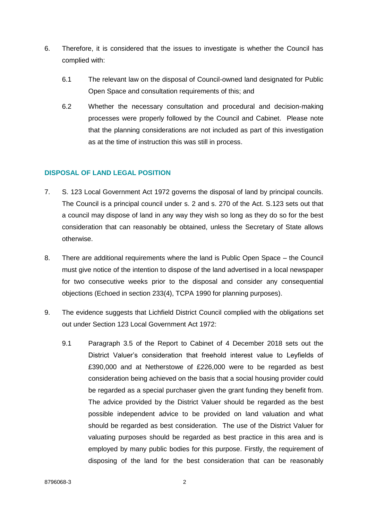- 6. Therefore, it is considered that the issues to investigate is whether the Council has complied with:
	- 6.1 The relevant law on the disposal of Council-owned land designated for Public Open Space and consultation requirements of this; and
	- 6.2 Whether the necessary consultation and procedural and decision-making processes were properly followed by the Council and Cabinet. Please note that the planning considerations are not included as part of this investigation as at the time of instruction this was still in process.

## **DISPOSAL OF LAND LEGAL POSITION**

- 7. S. 123 Local Government Act 1972 governs the disposal of land by principal councils. The Council is a principal council under s. 2 and s. 270 of the Act. S.123 sets out that a council may dispose of land in any way they wish so long as they do so for the best consideration that can reasonably be obtained, unless the Secretary of State allows otherwise.
- 8. There are additional requirements where the land is Public Open Space the Council must give notice of the intention to dispose of the land advertised in a local newspaper for two consecutive weeks prior to the disposal and consider any consequential objections (Echoed in section 233(4), TCPA 1990 for planning purposes).
- 9. The evidence suggests that Lichfield District Council complied with the obligations set out under Section 123 Local Government Act 1972:
	- 9.1 Paragraph 3.5 of the Report to Cabinet of 4 December 2018 sets out the District Valuer's consideration that freehold interest value to Leyfields of £390,000 and at Netherstowe of £226,000 were to be regarded as best consideration being achieved on the basis that a social housing provider could be regarded as a special purchaser given the grant funding they benefit from. The advice provided by the District Valuer should be regarded as the best possible independent advice to be provided on land valuation and what should be regarded as best consideration. The use of the District Valuer for valuating purposes should be regarded as best practice in this area and is employed by many public bodies for this purpose. Firstly, the requirement of disposing of the land for the best consideration that can be reasonably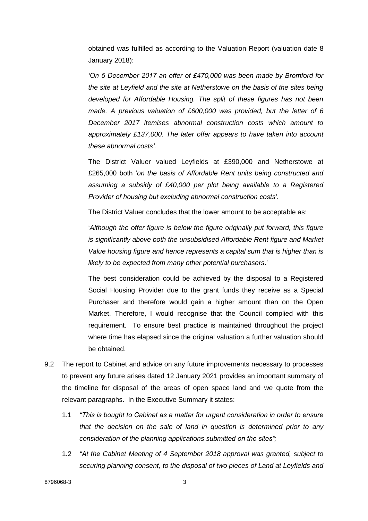obtained was fulfilled as according to the Valuation Report (valuation date 8 January 2018):

*'On 5 December 2017 an offer of £470,000 was been made by Bromford for the site at Leyfield and the site at Netherstowe on the basis of the sites being developed for Affordable Housing. The split of these figures has not been made. A previous valuation of £600,000 was provided, but the letter of 6 December 2017 itemises abnormal construction costs which amount to approximately £137,000. The later offer appears to have taken into account these abnormal costs'.*

The District Valuer valued Leyfields at £390,000 and Netherstowe at £265,000 both '*on the basis of Affordable Rent units being constructed and assuming a subsidy of £40,000 per plot being available to a Registered Provider of housing but excluding abnormal construction costs'*.

The District Valuer concludes that the lower amount to be acceptable as:

'*Although the offer figure is below the figure originally put forward, this figure is significantly above both the unsubsidised Affordable Rent figure and Market Value housing figure and hence represents a capital sum that is higher than is likely to be expected from many other potential purchasers*.'

The best consideration could be achieved by the disposal to a Registered Social Housing Provider due to the grant funds they receive as a Special Purchaser and therefore would gain a higher amount than on the Open Market. Therefore, I would recognise that the Council complied with this requirement. To ensure best practice is maintained throughout the project where time has elapsed since the original valuation a further valuation should be obtained.

- 9.2 The report to Cabinet and advice on any future improvements necessary to processes to prevent any future arises dated 12 January 2021 provides an important summary of the timeline for disposal of the areas of open space land and we quote from the relevant paragraphs. In the Executive Summary it states:
	- 1.1 *"This is bought to Cabinet as a matter for urgent consideration in order to ensure that the decision on the sale of land in question is determined prior to any consideration of the planning applications submitted on the sites";*
	- 1.2 *"At the Cabinet Meeting of 4 September 2018 approval was granted, subject to securing planning consent, to the disposal of two pieces of Land at Leyfields and*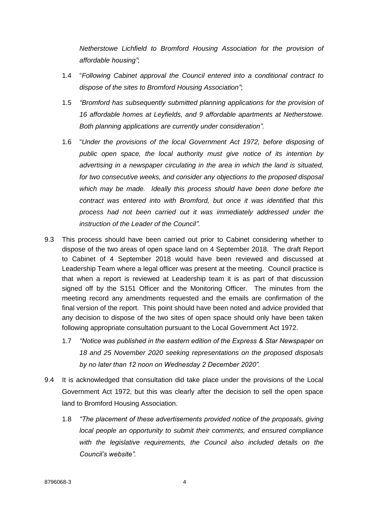*Netherstowe Lichfield to Bromford Housing Association for the provision of affordable housing"*;

- 1.4 "*Following Cabinet approval the Council entered into a conditional contract to dispose of the sites to Bromford Housing Association"*;
- 1.5 *"Bromford has subsequently submitted planning applications for the provision of 16 affordable homes at Leyfields, and 9 affordable apartments at Netherstowe. Both planning applications are currently under consideration".*
- 1.6 "*Under the provisions of the local Government Act 1972, before disposing of public open space, the local authority must give notice of its intention by advertising in a newspaper circulating in the area in which the land is situated, for two consecutive weeks, and consider any objections to the proposed disposal which may be made. Ideally this process should have been done before the contract was entered into with Bromford, but once it was identified that this process had not been carried out it was immediately addressed under the instruction of the Leader of the Council"*.
- 9.3 This process should have been carried out prior to Cabinet considering whether to dispose of the two areas of open space land on 4 September 2018. The draft Report to Cabinet of 4 September 2018 would have been reviewed and discussed at Leadership Team where a legal officer was present at the meeting. Council practice is that when a report is reviewed at Leadership team it is as part of that discussion signed off by the S151 Officer and the Monitoring Officer. The minutes from the meeting record any amendments requested and the emails are confirmation of the final version of the report. This point should have been noted and advice provided that any decision to dispose of the two sites of open space should only have been taken following appropriate consultation pursuant to the Local Government Act 1972.
	- 1.7 *"Notice was published in the eastern edition of the Express & Star Newspaper on 18 and 25 November 2020 seeking representations on the proposed disposals by no later than 12 noon on Wednesday 2 December 2020".*
- 9.4 It is acknowledged that consultation did take place under the provisions of the Local Government Act 1972, but this was clearly after the decision to sell the open space land to Bromford Housing Association.
	- 1.8 *"The placement of these advertisements provided notice of the proposals, giving local people an opportunity to submit their comments, and ensured compliance with the legislative requirements, the Council also included details on the Council's website".*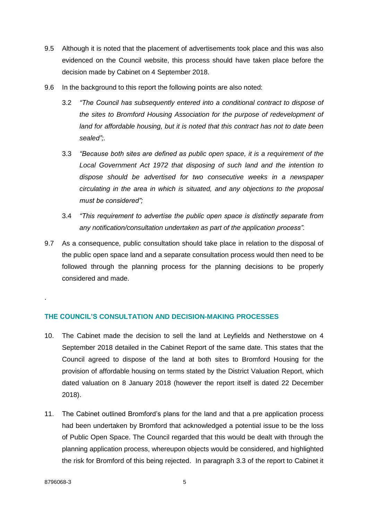- 9.5 Although it is noted that the placement of advertisements took place and this was also evidenced on the Council website, this process should have taken place before the decision made by Cabinet on 4 September 2018.
- 9.6 In the background to this report the following points are also noted:
	- 3.2 *"The Council has subsequently entered into a conditional contract to dispose of the sites to Bromford Housing Association for the purpose of redevelopment of land for affordable housing, but it is noted that this contract has not to date been sealed";.*
	- 3.3 *"Because both sites are defined as public open space, it is a requirement of the Local Government Act 1972 that disposing of such land and the intention to dispose should be advertised for two consecutive weeks in a newspaper circulating in the area in which is situated, and any objections to the proposal must be considered";*
	- 3.4 *"This requirement to advertise the public open space is distinctly separate from any notification/consultation undertaken as part of the application process".*
- 9.7 As a consequence, public consultation should take place in relation to the disposal of the public open space land and a separate consultation process would then need to be followed through the planning process for the planning decisions to be properly considered and made.

## **THE COUNCIL'S CONSULTATION AND DECISION-MAKING PROCESSES**

- 10. The Cabinet made the decision to sell the land at Leyfields and Netherstowe on 4 September 2018 detailed in the Cabinet Report of the same date. This states that the Council agreed to dispose of the land at both sites to Bromford Housing for the provision of affordable housing on terms stated by the District Valuation Report, which dated valuation on 8 January 2018 (however the report itself is dated 22 December 2018).
- 11. The Cabinet outlined Bromford's plans for the land and that a pre application process had been undertaken by Bromford that acknowledged a potential issue to be the loss of Public Open Space. The Council regarded that this would be dealt with through the planning application process, whereupon objects would be considered, and highlighted the risk for Bromford of this being rejected. In paragraph 3.3 of the report to Cabinet it

.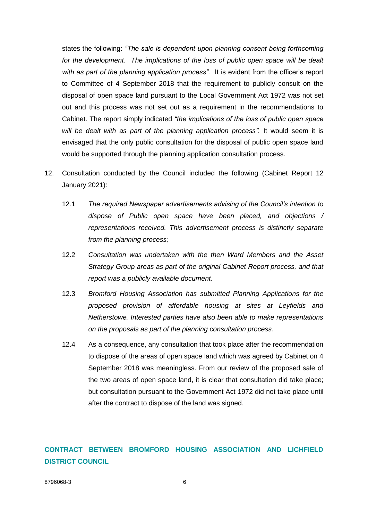states the following: *"The sale is dependent upon planning consent being forthcoming*  for the development. The implications of the loss of public open space will be dealt *with as part of the planning application process"*. It is evident from the officer's report to Committee of 4 September 2018 that the requirement to publicly consult on the disposal of open space land pursuant to the Local Government Act 1972 was not set out and this process was not set out as a requirement in the recommendations to Cabinet. The report simply indicated *"the implications of the loss of public open space will be dealt with as part of the planning application process".* It would seem it is envisaged that the only public consultation for the disposal of public open space land would be supported through the planning application consultation process.

- 12. Consultation conducted by the Council included the following (Cabinet Report 12 January 2021):
	- 12.1 *The required Newspaper advertisements advising of the Council's intention to dispose of Public open space have been placed, and objections / representations received. This advertisement process is distinctly separate from the planning process;*
	- 12.2 *Consultation was undertaken with the then Ward Members and the Asset Strategy Group areas as part of the original Cabinet Report process, and that report was a publicly available document.*
	- 12.3 *Bromford Housing Association has submitted Planning Applications for the proposed provision of affordable housing at sites at Leyfields and Netherstowe. Interested parties have also been able to make representations on the proposals as part of the planning consultation process.*
	- 12.4 As a consequence, any consultation that took place after the recommendation to dispose of the areas of open space land which was agreed by Cabinet on 4 September 2018 was meaningless. From our review of the proposed sale of the two areas of open space land, it is clear that consultation did take place; but consultation pursuant to the Government Act 1972 did not take place until after the contract to dispose of the land was signed.

**CONTRACT BETWEEN BROMFORD HOUSING ASSOCIATION AND LICHFIELD DISTRICT COUNCIL**

8796068-3 6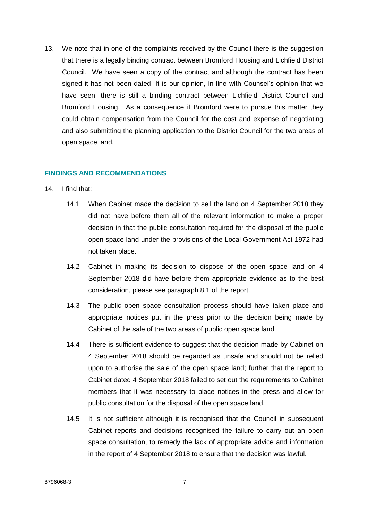13. We note that in one of the complaints received by the Council there is the suggestion that there is a legally binding contract between Bromford Housing and Lichfield District Council. We have seen a copy of the contract and although the contract has been signed it has not been dated. It is our opinion, in line with Counsel's opinion that we have seen, there is still a binding contract between Lichfield District Council and Bromford Housing. As a consequence if Bromford were to pursue this matter they could obtain compensation from the Council for the cost and expense of negotiating and also submitting the planning application to the District Council for the two areas of open space land.

### **FINDINGS AND RECOMMENDATIONS**

#### 14. I find that:

- 14.1 When Cabinet made the decision to sell the land on 4 September 2018 they did not have before them all of the relevant information to make a proper decision in that the public consultation required for the disposal of the public open space land under the provisions of the Local Government Act 1972 had not taken place.
- 14.2 Cabinet in making its decision to dispose of the open space land on 4 September 2018 did have before them appropriate evidence as to the best consideration, please see paragraph 8.1 of the report.
- 14.3 The public open space consultation process should have taken place and appropriate notices put in the press prior to the decision being made by Cabinet of the sale of the two areas of public open space land.
- 14.4 There is sufficient evidence to suggest that the decision made by Cabinet on 4 September 2018 should be regarded as unsafe and should not be relied upon to authorise the sale of the open space land; further that the report to Cabinet dated 4 September 2018 failed to set out the requirements to Cabinet members that it was necessary to place notices in the press and allow for public consultation for the disposal of the open space land.
- 14.5 It is not sufficient although it is recognised that the Council in subsequent Cabinet reports and decisions recognised the failure to carry out an open space consultation, to remedy the lack of appropriate advice and information in the report of 4 September 2018 to ensure that the decision was lawful.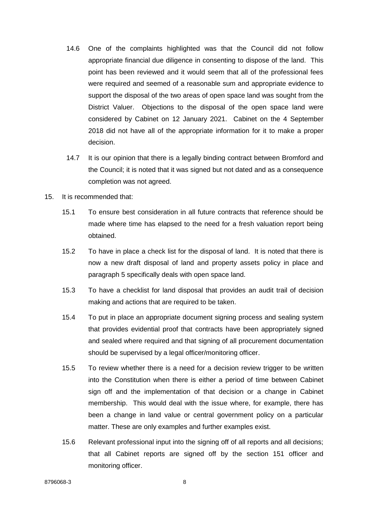- 14.6 One of the complaints highlighted was that the Council did not follow appropriate financial due diligence in consenting to dispose of the land. This point has been reviewed and it would seem that all of the professional fees were required and seemed of a reasonable sum and appropriate evidence to support the disposal of the two areas of open space land was sought from the District Valuer. Objections to the disposal of the open space land were considered by Cabinet on 12 January 2021. Cabinet on the 4 September 2018 did not have all of the appropriate information for it to make a proper decision.
- 14.7 It is our opinion that there is a legally binding contract between Bromford and the Council; it is noted that it was signed but not dated and as a consequence completion was not agreed.
- 15. It is recommended that:
	- 15.1 To ensure best consideration in all future contracts that reference should be made where time has elapsed to the need for a fresh valuation report being obtained.
	- 15.2 To have in place a check list for the disposal of land. It is noted that there is now a new draft disposal of land and property assets policy in place and paragraph 5 specifically deals with open space land.
	- 15.3 To have a checklist for land disposal that provides an audit trail of decision making and actions that are required to be taken.
	- 15.4 To put in place an appropriate document signing process and sealing system that provides evidential proof that contracts have been appropriately signed and sealed where required and that signing of all procurement documentation should be supervised by a legal officer/monitoring officer.
	- 15.5 To review whether there is a need for a decision review trigger to be written into the Constitution when there is either a period of time between Cabinet sign off and the implementation of that decision or a change in Cabinet membership. This would deal with the issue where, for example, there has been a change in land value or central government policy on a particular matter. These are only examples and further examples exist.
	- 15.6 Relevant professional input into the signing off of all reports and all decisions; that all Cabinet reports are signed off by the section 151 officer and monitoring officer.